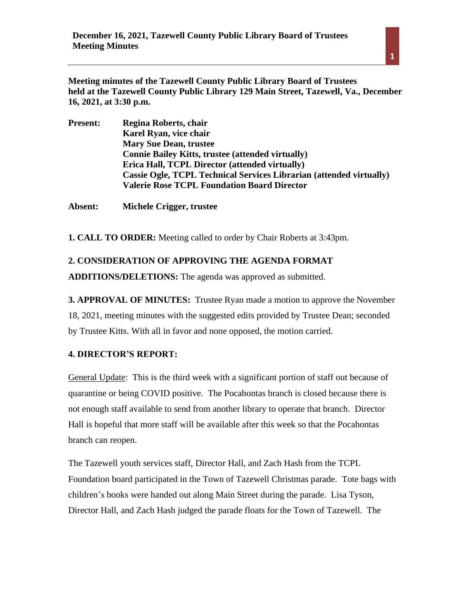**Meeting minutes of the Tazewell County Public Library Board of Trustees held at the Tazewell County Public Library 129 Main Street, Tazewell, Va., December 16, 2021, at 3:30 p.m.** 

| <b>Present:</b> | Regina Roberts, chair                                               |
|-----------------|---------------------------------------------------------------------|
|                 | Karel Ryan, vice chair                                              |
|                 | <b>Mary Sue Dean, trustee</b>                                       |
|                 | <b>Connie Bailey Kitts, trustee (attended virtually)</b>            |
|                 | Erica Hall, TCPL Director (attended virtually)                      |
|                 | Cassie Ogle, TCPL Technical Services Librarian (attended virtually) |
|                 | <b>Valerie Rose TCPL Foundation Board Director</b>                  |
|                 |                                                                     |

**Absent: Michele Crigger, trustee**

**1. CALL TO ORDER:** Meeting called to order by Chair Roberts at 3:43pm.

## **2. CONSIDERATION OF APPROVING THE AGENDA FORMAT**

**ADDITIONS/DELETIONS:** The agenda was approved as submitted.

**3. APPROVAL OF MINUTES:** Trustee Ryan made a motion to approve the November 18, 2021, meeting minutes with the suggested edits provided by Trustee Dean; seconded by Trustee Kitts. With all in favor and none opposed, the motion carried.

#### **4. DIRECTOR'S REPORT:**

General Update: This is the third week with a significant portion of staff out because of quarantine or being COVID positive. The Pocahontas branch is closed because there is not enough staff available to send from another library to operate that branch. Director Hall is hopeful that more staff will be available after this week so that the Pocahontas branch can reopen.

The Tazewell youth services staff, Director Hall, and Zach Hash from the TCPL Foundation board participated in the Town of Tazewell Christmas parade. Tote bags with children's books were handed out along Main Street during the parade. Lisa Tyson, Director Hall, and Zach Hash judged the parade floats for the Town of Tazewell. The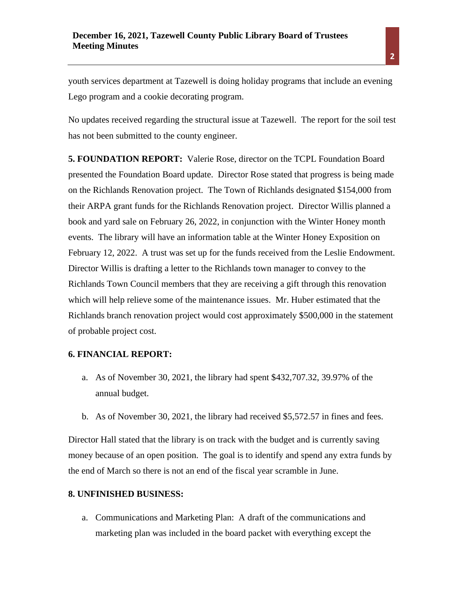youth services department at Tazewell is doing holiday programs that include an evening Lego program and a cookie decorating program.

No updates received regarding the structural issue at Tazewell. The report for the soil test has not been submitted to the county engineer.

**5. FOUNDATION REPORT:** Valerie Rose, director on the TCPL Foundation Board presented the Foundation Board update. Director Rose stated that progress is being made on the Richlands Renovation project. The Town of Richlands designated \$154,000 from their ARPA grant funds for the Richlands Renovation project. Director Willis planned a book and yard sale on February 26, 2022, in conjunction with the Winter Honey month events. The library will have an information table at the Winter Honey Exposition on February 12, 2022. A trust was set up for the funds received from the Leslie Endowment. Director Willis is drafting a letter to the Richlands town manager to convey to the Richlands Town Council members that they are receiving a gift through this renovation which will help relieve some of the maintenance issues. Mr. Huber estimated that the Richlands branch renovation project would cost approximately \$500,000 in the statement of probable project cost.

# **6. FINANCIAL REPORT:**

- a. As of November 30, 2021, the library had spent \$432,707.32, 39.97% of the annual budget.
- b. As of November 30, 2021, the library had received \$5,572.57 in fines and fees.

Director Hall stated that the library is on track with the budget and is currently saving money because of an open position. The goal is to identify and spend any extra funds by the end of March so there is not an end of the fiscal year scramble in June.

#### **8. UNFINISHED BUSINESS:**

a. Communications and Marketing Plan: A draft of the communications and marketing plan was included in the board packet with everything except the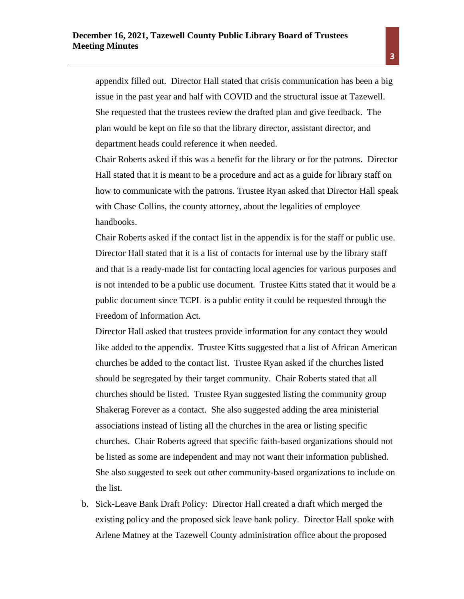appendix filled out. Director Hall stated that crisis communication has been a big issue in the past year and half with COVID and the structural issue at Tazewell. She requested that the trustees review the drafted plan and give feedback. The plan would be kept on file so that the library director, assistant director, and department heads could reference it when needed.

Chair Roberts asked if this was a benefit for the library or for the patrons. Director Hall stated that it is meant to be a procedure and act as a guide for library staff on how to communicate with the patrons. Trustee Ryan asked that Director Hall speak with Chase Collins, the county attorney, about the legalities of employee handbooks.

Chair Roberts asked if the contact list in the appendix is for the staff or public use. Director Hall stated that it is a list of contacts for internal use by the library staff and that is a ready-made list for contacting local agencies for various purposes and is not intended to be a public use document. Trustee Kitts stated that it would be a public document since TCPL is a public entity it could be requested through the Freedom of Information Act.

Director Hall asked that trustees provide information for any contact they would like added to the appendix. Trustee Kitts suggested that a list of African American churches be added to the contact list. Trustee Ryan asked if the churches listed should be segregated by their target community. Chair Roberts stated that all churches should be listed. Trustee Ryan suggested listing the community group Shakerag Forever as a contact. She also suggested adding the area ministerial associations instead of listing all the churches in the area or listing specific churches. Chair Roberts agreed that specific faith-based organizations should not be listed as some are independent and may not want their information published. She also suggested to seek out other community-based organizations to include on the list.

b. Sick-Leave Bank Draft Policy: Director Hall created a draft which merged the existing policy and the proposed sick leave bank policy. Director Hall spoke with Arlene Matney at the Tazewell County administration office about the proposed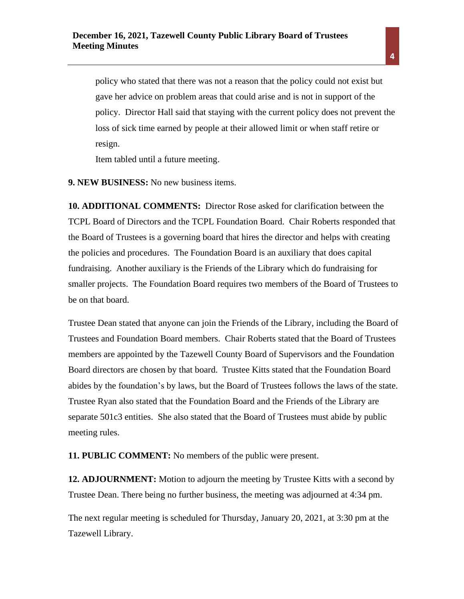policy who stated that there was not a reason that the policy could not exist but gave her advice on problem areas that could arise and is not in support of the policy. Director Hall said that staying with the current policy does not prevent the loss of sick time earned by people at their allowed limit or when staff retire or resign.

Item tabled until a future meeting.

**9. NEW BUSINESS:** No new business items.

**10. ADDITIONAL COMMENTS:** Director Rose asked for clarification between the TCPL Board of Directors and the TCPL Foundation Board. Chair Roberts responded that the Board of Trustees is a governing board that hires the director and helps with creating the policies and procedures. The Foundation Board is an auxiliary that does capital fundraising. Another auxiliary is the Friends of the Library which do fundraising for smaller projects. The Foundation Board requires two members of the Board of Trustees to be on that board.

Trustee Dean stated that anyone can join the Friends of the Library, including the Board of Trustees and Foundation Board members. Chair Roberts stated that the Board of Trustees members are appointed by the Tazewell County Board of Supervisors and the Foundation Board directors are chosen by that board. Trustee Kitts stated that the Foundation Board abides by the foundation's by laws, but the Board of Trustees follows the laws of the state. Trustee Ryan also stated that the Foundation Board and the Friends of the Library are separate 501c3 entities. She also stated that the Board of Trustees must abide by public meeting rules.

**11. PUBLIC COMMENT:** No members of the public were present.

**12. ADJOURNMENT:** Motion to adjourn the meeting by Trustee Kitts with a second by Trustee Dean. There being no further business, the meeting was adjourned at 4:34 pm.

The next regular meeting is scheduled for Thursday, January 20, 2021, at 3:30 pm at the Tazewell Library.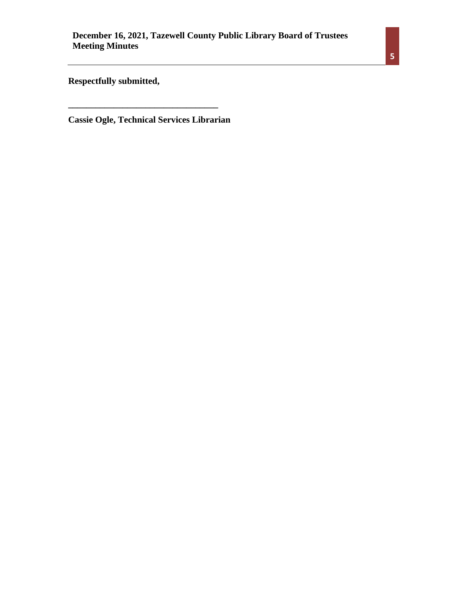**Respectfully submitted,** 

**Cassie Ogle, Technical Services Librarian**

**\_\_\_\_\_\_\_\_\_\_\_\_\_\_\_\_\_\_\_\_\_\_\_\_\_\_\_\_\_\_\_\_\_**